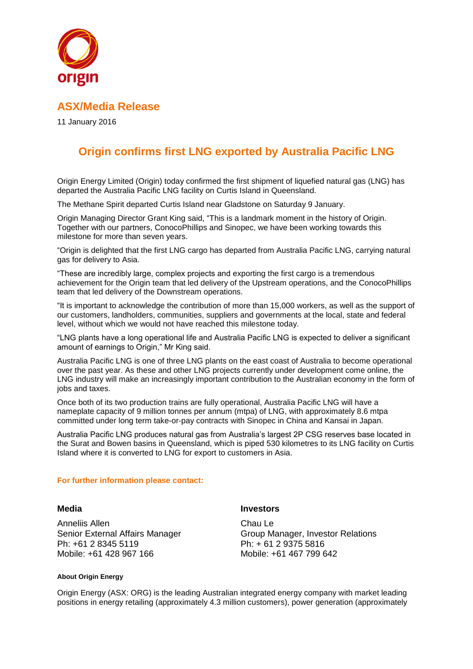

## **ASX/Media Release**

11 January 2016

# **Origin confirms first LNG exported by Australia Pacific LNG**

Origin Energy Limited (Origin) today confirmed the first shipment of liquefied natural gas (LNG) has departed the Australia Pacific LNG facility on Curtis Island in Queensland.

The Methane Spirit departed Curtis Island near Gladstone on Saturday 9 January.

Origin Managing Director Grant King said, "This is a landmark moment in the history of Origin. Together with our partners, ConocoPhillips and Sinopec, we have been working towards this milestone for more than seven years.

"Origin is delighted that the first LNG cargo has departed from Australia Pacific LNG, carrying natural gas for delivery to Asia.

"These are incredibly large, complex projects and exporting the first cargo is a tremendous achievement for the Origin team that led delivery of the Upstream operations, and the ConocoPhillips team that led delivery of the Downstream operations.

"It is important to acknowledge the contribution of more than 15,000 workers, as well as the support of our customers, landholders, communities, suppliers and governments at the local, state and federal level, without which we would not have reached this milestone today.

"LNG plants have a long operational life and Australia Pacific LNG is expected to deliver a significant amount of earnings to Origin," Mr King said.

Australia Pacific LNG is one of three LNG plants on the east coast of Australia to become operational over the past year. As these and other LNG projects currently under development come online, the LNG industry will make an increasingly important contribution to the Australian economy in the form of jobs and taxes.

Once both of its two production trains are fully operational, Australia Pacific LNG will have a nameplate capacity of 9 million tonnes per annum (mtpa) of LNG, with approximately 8.6 mtpa committed under long term take-or-pay contracts with Sinopec in China and Kansai in Japan.

Australia Pacific LNG produces natural gas from Australia's largest 2P CSG reserves base located in the Surat and Bowen basins in Queensland, which is piped 530 kilometres to its LNG facility on Curtis Island where it is converted to LNG for export to customers in Asia.

### **For further information please contact:**

**Media Investors**

Anneliis Allen Senior External Affairs Manager Ph: +61 2 8345 5119 Mobile: +61 428 967 166

Chau Le Group Manager, Investor Relations Ph: + 61 2 9375 5816 Mobile: +61 467 799 642

#### **About Origin Energy**

Origin Energy (ASX: ORG) is the leading Australian integrated energy company with market leading positions in energy retailing (approximately 4.3 million customers), power generation (approximately